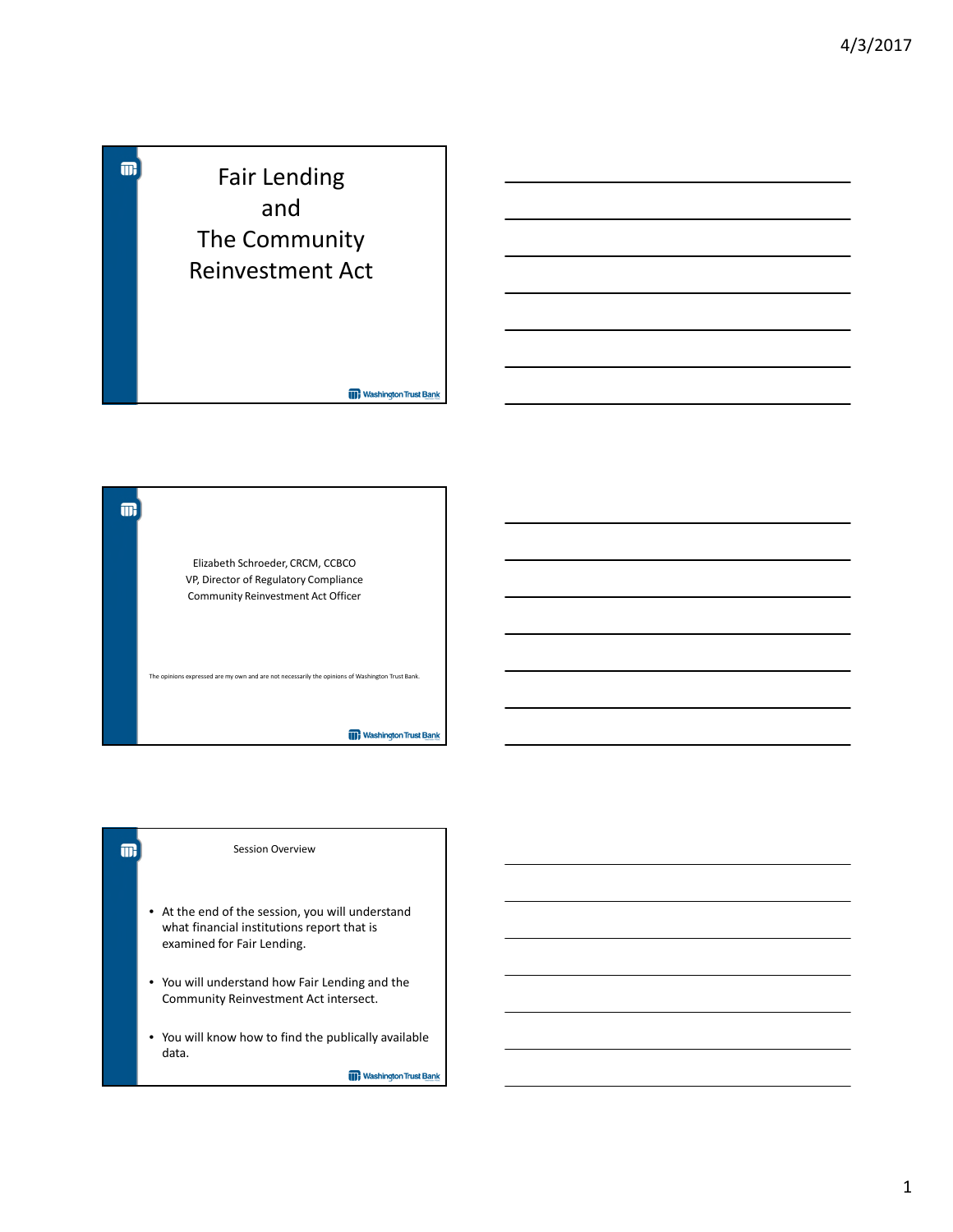

m Elizabeth Schroeder, CRCM, CCBCO VP, Director of Regulatory Compliance Community Reinvestment Act Officer The opinions expressed are my own and are not necessarily the opinions of Washington Trust Bank. **TT**, Washington Trust Bank

Session Overview

 $\blacksquare$ 

- At the end of the session, you will understand what financial institutions report that is examined for Fair Lending.
- You will understand how Fair Lending and the Community Reinvestment Act intersect.
- You will know how to find the publically available data.

**TT** Washington Trust Bank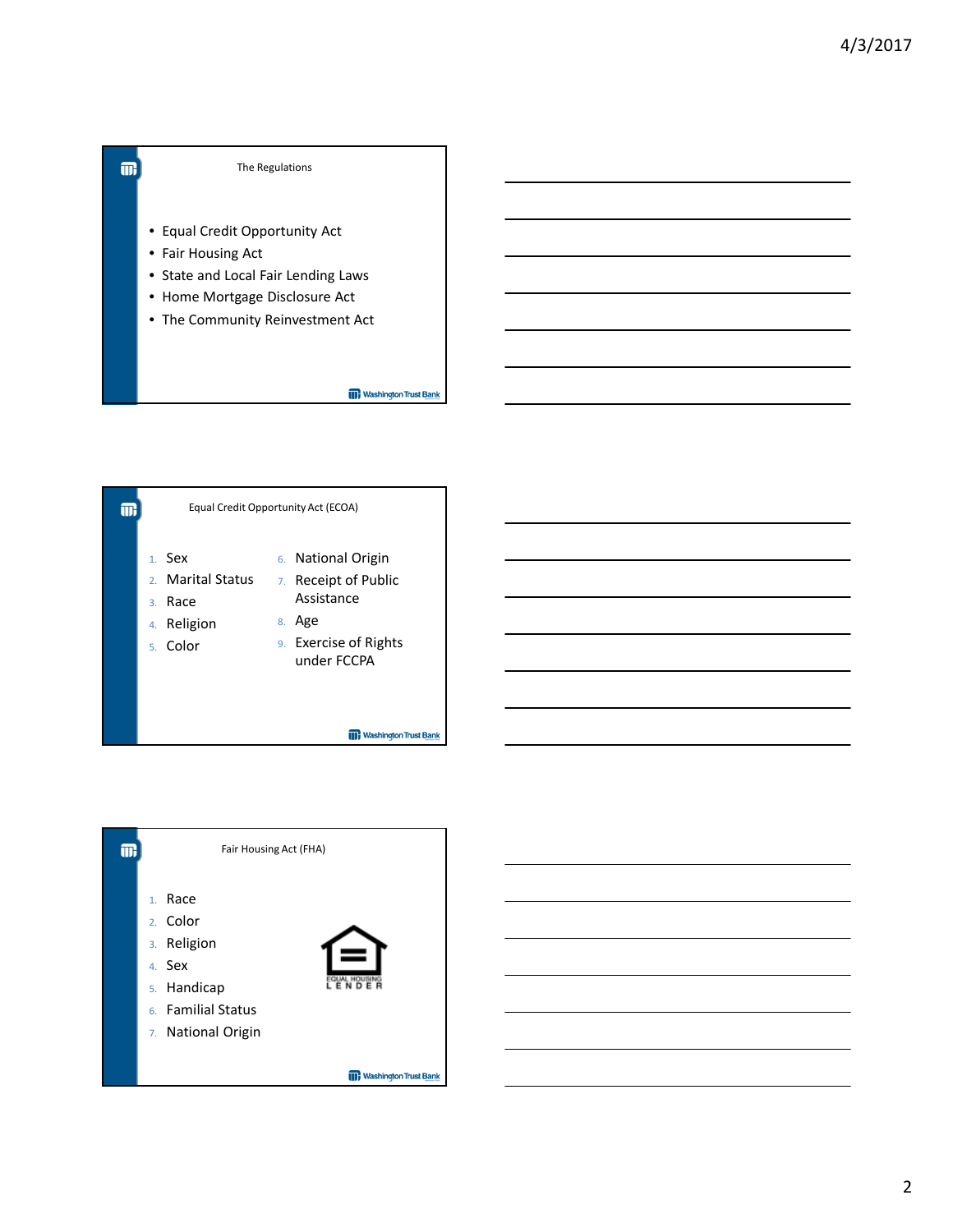





2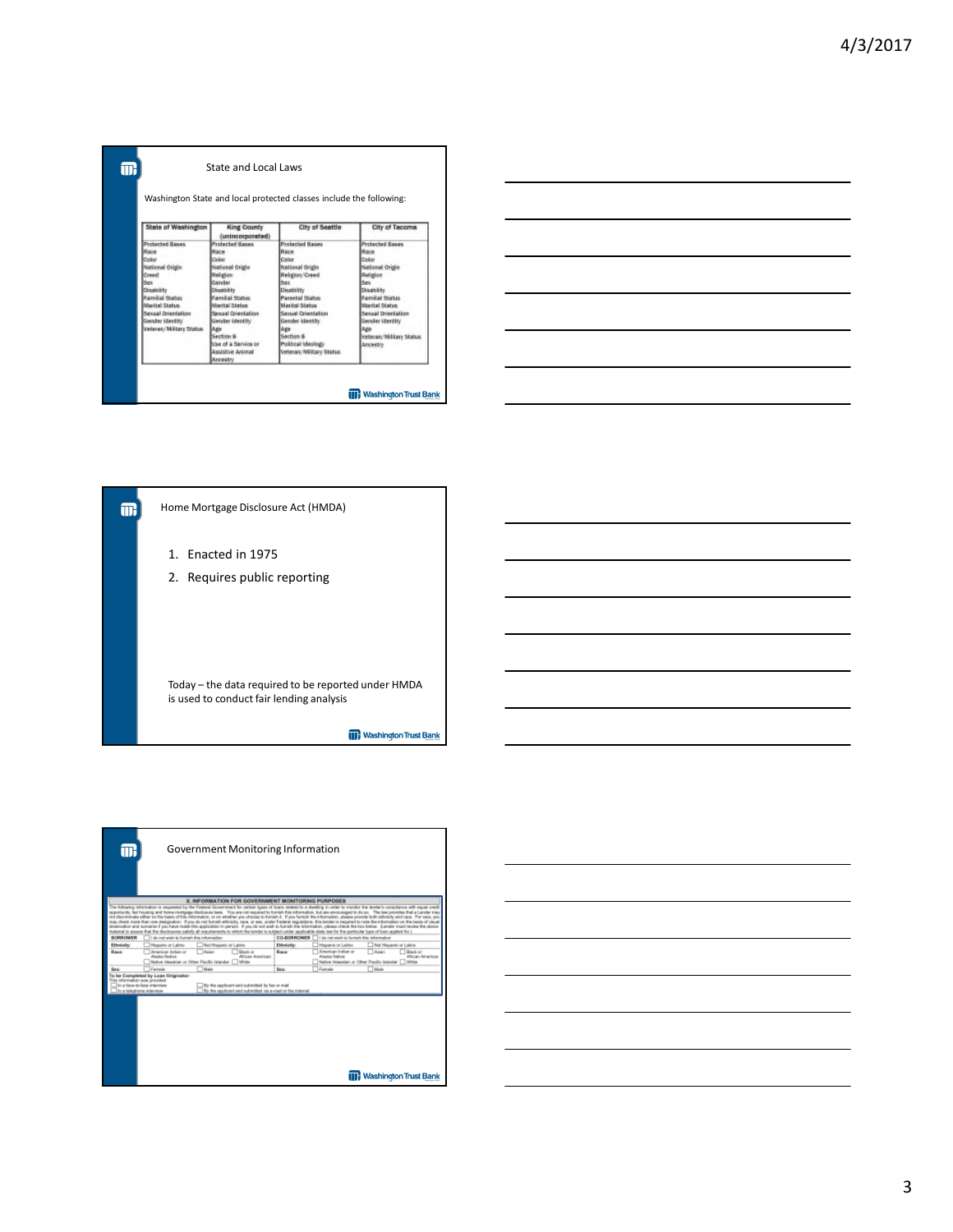|                                                                                                                                                                                                                             |                                                                                                                                                                                                                                                                                               | Washington State and local protected classes include the following:                                                                                                                                                                                                                 |                                                                                                                                                                                                                                                      |
|-----------------------------------------------------------------------------------------------------------------------------------------------------------------------------------------------------------------------------|-----------------------------------------------------------------------------------------------------------------------------------------------------------------------------------------------------------------------------------------------------------------------------------------------|-------------------------------------------------------------------------------------------------------------------------------------------------------------------------------------------------------------------------------------------------------------------------------------|------------------------------------------------------------------------------------------------------------------------------------------------------------------------------------------------------------------------------------------------------|
| State of Washington                                                                                                                                                                                                         | King County<br>(unincorporated)                                                                                                                                                                                                                                                               | City of Senttin                                                                                                                                                                                                                                                                     | City of Tecoma                                                                                                                                                                                                                                       |
| <b>Protected Gases</b><br>Raile<br>thelest<br>National Origin<br>Creed<br><b>Bes</b><br>Displairy<br><b>Familial Status</b><br><b>Martial Status</b><br>Sexual Drientation<br>Gender (dentity)<br>Virtimas/ Nilitary Status | <b>Protected Bases</b><br>Rate<br>Color<br>National Origin<br><b>Religion</b><br>Générai<br>Disability<br><b>Familiai Stutus</b><br>Meethal Shaham<br><b>Simulat Orientation</b><br>Genter (dentity)<br><b>Max</b><br>Section &<br><b>Use of a Service or</b><br>Assistive Animal<br>Accestry | <b>Protected Bases</b><br>Roce<br>Color<br>National Origin<br>Religion/Creed<br><b>Tues</b><br>Disability<br><b>Parental Rights</b><br><b>Maribel Status</b><br>Servant Orientation<br>Gerater Identity<br><b>Age</b><br>Section &<br>Political Ideology<br>Veteran/Wilitary Status | <b>Protected Gases</b><br>Role<br>timber<br>National Origin<br><b>Religion</b><br>Sei<br>Dissists<br>Familiai Nichts<br><b>Marttal Status</b><br>Sexual Drienfallon<br><b>Service (dentity)</b><br><b>Age</b><br>Veteran/Military Status<br>Ancestry |





| Πŀ                |                                                                                           | Government Monitoring Information                                                                                                                                                                                                                                                                                                                                         |                   |                                                                           |                        |                                  |
|-------------------|-------------------------------------------------------------------------------------------|---------------------------------------------------------------------------------------------------------------------------------------------------------------------------------------------------------------------------------------------------------------------------------------------------------------------------------------------------------------------------|-------------------|---------------------------------------------------------------------------|------------------------|----------------------------------|
|                   |                                                                                           | X. INFORMATION FOR GOVERNMENT MONITORING PURPOSES                                                                                                                                                                                                                                                                                                                         |                   |                                                                           |                        |                                  |
|                   |                                                                                           | The following information is requested by the Federal Government for certain types of loans related to a dwelling in order to monitor the lender's compliance with equal credit                                                                                                                                                                                           |                   |                                                                           |                        |                                  |
|                   |                                                                                           | opportunity, fait housing and home mortgage disclosure laws. You are not required to furnish this information, but are encouraged to do so. The law provides that a Lander may<br>not discriminate either on the basis of this information, or on whether you choose to furnish it. If you furnish the information, please provide both ethnicity and race. For race, you |                   |                                                                           |                        |                                  |
|                   |                                                                                           | may check more than one designation. If you do not furnish ethnicity, race, or sex, under Federal regulations, this lender is required to note the information on the basis of visual                                                                                                                                                                                     |                   |                                                                           |                        |                                  |
|                   |                                                                                           | observation and sumarre if you have made this application in person. If you do not wish to furnish the information, please check the box below. (Lender must review the above<br>material in assure that the disclosures satisfy all requirements to which the lender is subject under applicable state law for the particular type of loan applied for 1                 |                   |                                                                           |                        |                                  |
| <b>BORROWER</b>   | Lide and wish in Kamish this information.                                                 |                                                                                                                                                                                                                                                                                                                                                                           | CO-ROSSOMER       | I do not wish to furnish this information                                 |                        |                                  |
| <b>Ethnicity:</b> | Hissanic or Latino                                                                        | Not Hispanic or Latino                                                                                                                                                                                                                                                                                                                                                    | <b>Ethnicity:</b> | Hispanic or Latino                                                        | Net Hispanic or Lating |                                  |
| Reserv            | American Indian or                                                                        | <b>Balan</b><br><b>Glazk or</b>                                                                                                                                                                                                                                                                                                                                           | Racer             | American Indian ar                                                        | Asian                  | <b>Glack or</b>                  |
|                   | Alaska Nation                                                                             | <b>African American</b>                                                                                                                                                                                                                                                                                                                                                   |                   | <b>Alaska Native</b><br>Native Hawaiian or Other Pacific Islander   White |                        | <b>African American</b>          |
|                   | Native Hawaiian or Other Pacific Islander                                                 | <b>White</b>                                                                                                                                                                                                                                                                                                                                                              |                   |                                                                           |                        |                                  |
| Sep.              | Female<br>To be Completed by Loan Originator:                                             | Male                                                                                                                                                                                                                                                                                                                                                                      | See at            | Female                                                                    | Male                   |                                  |
|                   | This information was provided:<br>In a fara, in Jare Interdent<br>In a telephone intentow | By the applicant and submitted by fax or mail<br>By the applicant and submitted via a-mail or the internal                                                                                                                                                                                                                                                                |                   |                                                                           |                        |                                  |
|                   |                                                                                           |                                                                                                                                                                                                                                                                                                                                                                           |                   |                                                                           |                        | <b>III</b> Washington Trust Bank |

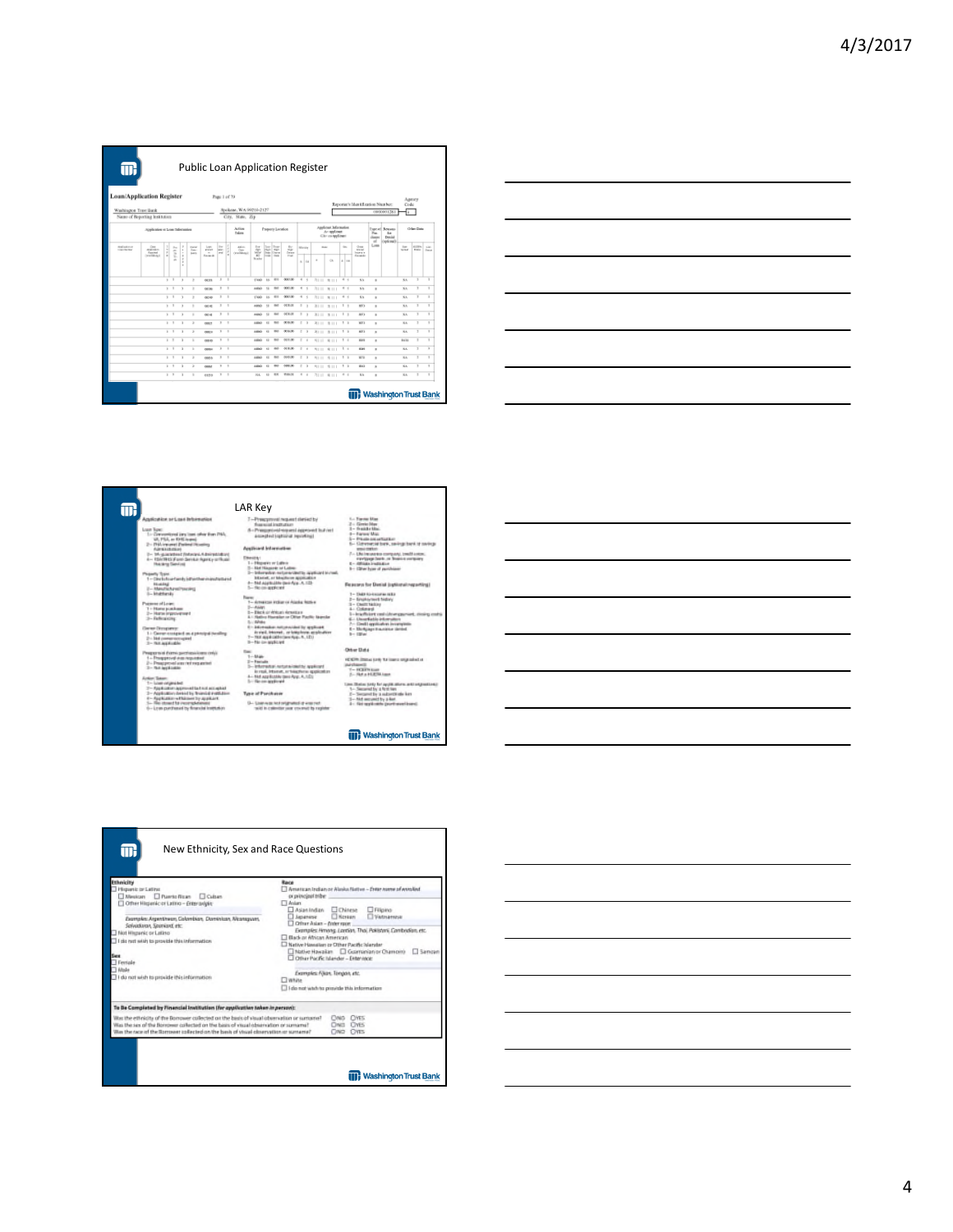



|                                                                                                                                                                                                                                                                                                                                                                                                                                                                                                                                                                                                                                             | LAR Key                                                                                                                                                                                                                                                                                                                                                                                                                                                                                                                                                                                                                                                                                                                                                 |                                                                                                                                                                                                                                                                                                                                                                                                                                                                                                                                                                                                                                         |
|---------------------------------------------------------------------------------------------------------------------------------------------------------------------------------------------------------------------------------------------------------------------------------------------------------------------------------------------------------------------------------------------------------------------------------------------------------------------------------------------------------------------------------------------------------------------------------------------------------------------------------------------|---------------------------------------------------------------------------------------------------------------------------------------------------------------------------------------------------------------------------------------------------------------------------------------------------------------------------------------------------------------------------------------------------------------------------------------------------------------------------------------------------------------------------------------------------------------------------------------------------------------------------------------------------------------------------------------------------------------------------------------------------------|-----------------------------------------------------------------------------------------------------------------------------------------------------------------------------------------------------------------------------------------------------------------------------------------------------------------------------------------------------------------------------------------------------------------------------------------------------------------------------------------------------------------------------------------------------------------------------------------------------------------------------------------|
| Aganization or Loan Information<br>Louis Town<br>1 - Conventional Lane Land rather than 1944.<br>UL FSA as EFE is good<br>2 - Phil. insured 2 sales (Housting<br>Administrator<br>2-16 stacksteed February, 4-8 models and<br>4 - Electricia de Faren Sanctus riugantes conficiales<br><b>Hukikry Service</b><br><b>Pleasanty Topics</b><br>1-City bids or hands influenting in quicketband<br><b>REMARKS</b><br>2-Mendichawilhousing<br><b>In-Matterdy</b><br>Painter of Loan:<br>1 - Harry Jeankees<br>2-Humaningsciencert<br>3-Felicacing<br>German Divisionment<br>1 - Carrer contract on a pancipal healing<br>2- list consensuouslast | T-Prescureval request shered by<br>frequencied length at year.<br>5 - Prespectively expansive provided leak net<br>Assessment leadstated incondition<br>Anglicard Internation<br><b>Eleccità</b> :<br>L. Hoperin or Latinic<br>The Rice Hilamonds and Ladison<br>3- belowprints restauranties the against thursel.<br><b>Statist, of Mediterra approximation</b><br>8-164 Auctioble David Ave. A. 123-<br>5- No in applicant<br><b>Tuesday</b><br>1- demographication of Atlantar funds at<br>$2 - 44441$<br>3-Bick of Witsel American<br>L .: Native Hearsler or Other Pacific Marsler<br><b>Buy White</b><br>Ett-Jellomoakus: natijatuvident ilu largikuste<br>is shell, lokemed  or long-losses applications<br>T - This applicable care App. A. LEU | L. Torne Man<br>2 - Gives May<br>$1-$ Thursday May.<br>8-Farmer Min.<br>5- Preside not ortigation<br>5- Gevenetie best, salingi best te swings<br>armai ciratiuni<br>7 .- Like Instance is company, treats assess.<br>experience health are financial community<br>E - Alfrida investment<br>B-120 at hom of purchaser<br>Fie as sent for Daniel inglimesing potted<br>1-Then kindnesses mith<br>3- Englishmet hiday<br>3 - Casilli Mckins<br><b>L. Grannel</b><br>1-leadblack and deteroparties, diving entra-<br>6 - Unarkatio internation<br>7- Credit application incorporate<br>E - Thirdquays is automar devied.<br>$b - 120$ and |
| 3- NX accounts<br>Peagures of district participations cityle<br>1- Programval was requested<br>2 - Prescare sel sono rici veganciati<br>$2 - 76.6$ lays \$1,600<br><b>Artist Texas</b><br>The Europe concerns held.<br>7-Australian agreed to hid amated<br>2-Application decised by Nursial Follyline<br>4-Application within next by applicant.<br>5-The ideased hit incorrect expenses<br>ti-Lyan guidhanad by financial institution                                                                                                                                                                                                     | 5-No co-applicant<br><b>Daniel</b><br>$1 - 10$ into<br>$2 -$ Featuring<br>5- Information notate kissattu applicant<br>is real, inhance, or his plans spokeships<br>4-Mel Applicable (best App. A. 107).<br>L. Gran profit and<br>Type of Punik aver<br>(i-Lisar-was test originated in was red.<br>with in calentar year covered by register                                                                                                                                                                                                                                                                                                                                                                                                            | <b>Other Data</b><br><b>COM ISSN 1990 To low a standard of</b><br><b><i><u>Address</u></i></b><br>The <b>DOM Program</b><br>R .- Flori at 14 30704 Associates<br>Line Shakes to by the applications and integrational<br>1 .- Securital for a first text<br>E- Siegenit for a subsettivate kim<br>1-Met sequent by a lost<br>3 - Gri rapid nich (port-suel isan)                                                                                                                                                                                                                                                                        |



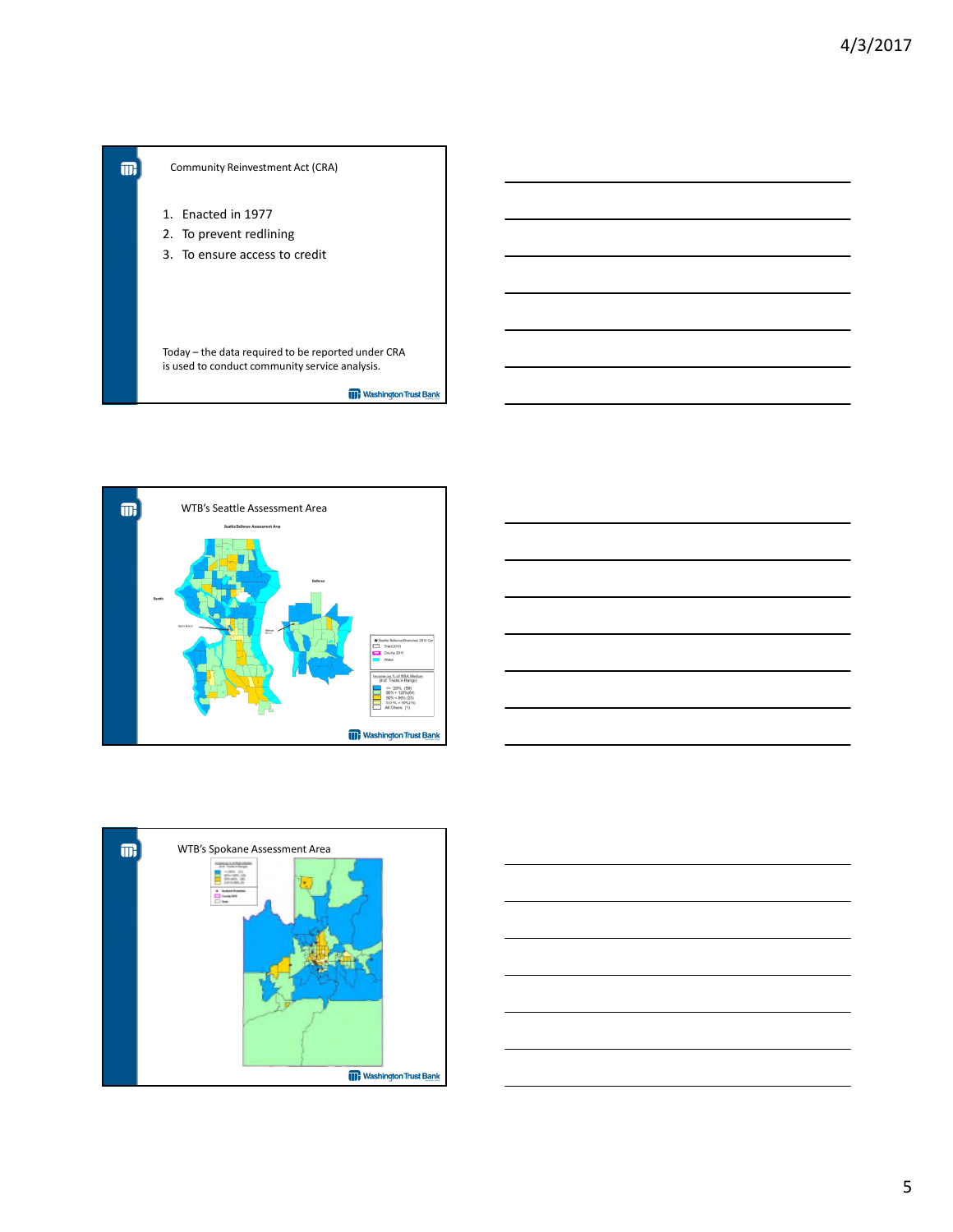







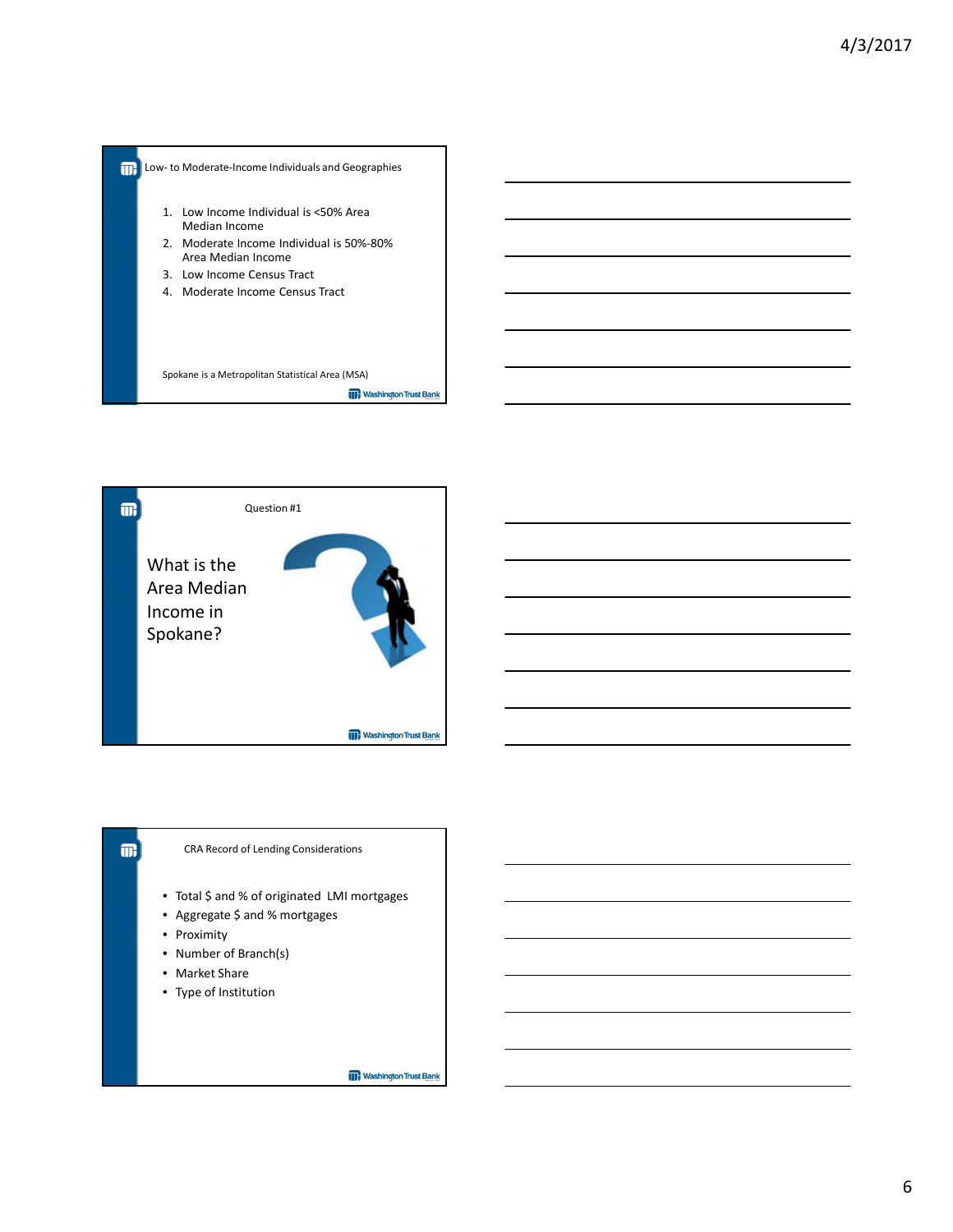



### CRA Record of Lending Considerations

- Total \$ and % of originated LMI mortgages
- Aggregate \$ and % mortgages
- Proximity

 $\blacksquare$ 

- Number of Branch(s)
- Market Share
- Type of Institution

**Washington Trust Bank**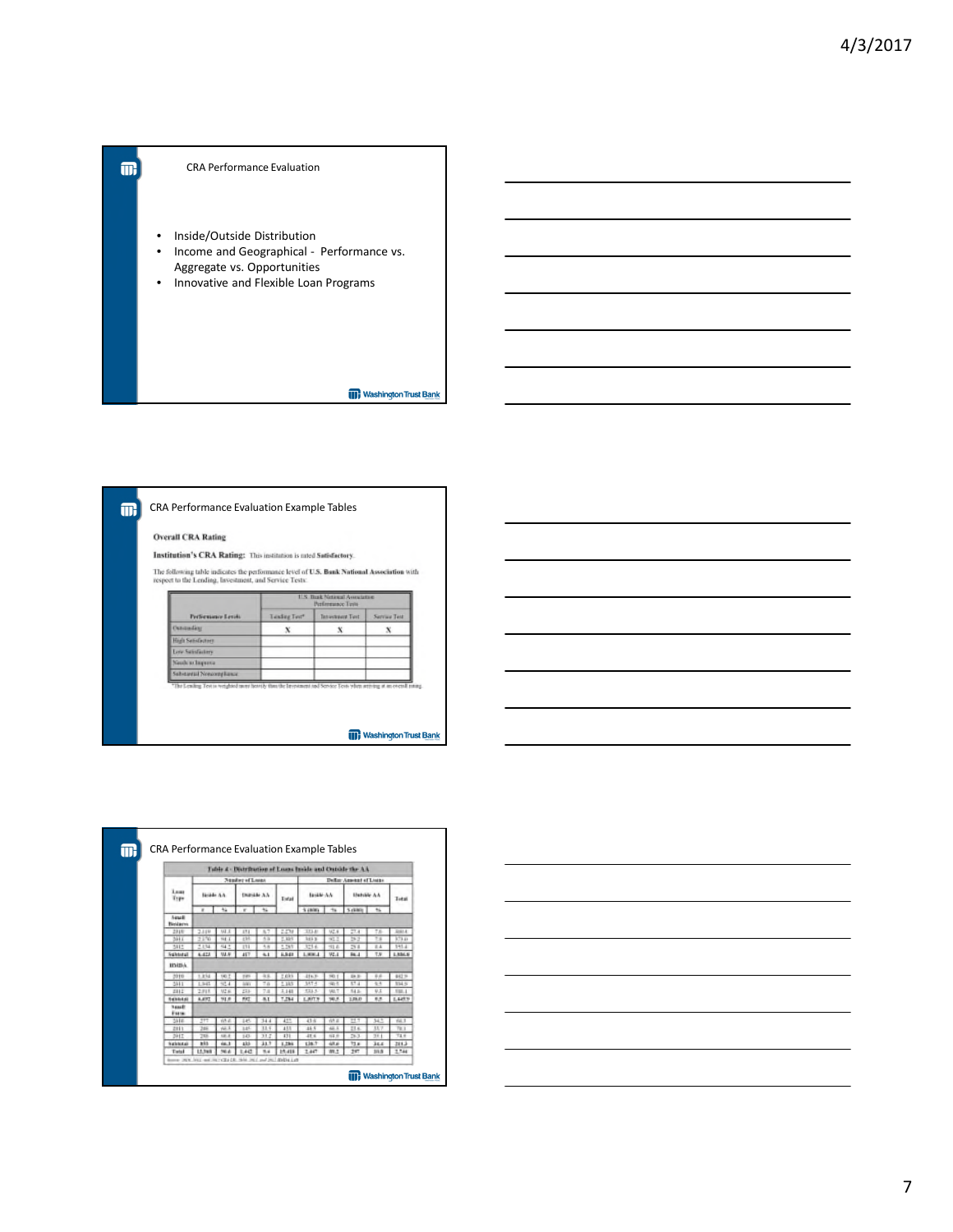## $\blacksquare$ CRA Performance Evaluation • Inside/Outside Distribution • Income and Geographical - Performance vs. Aggregate vs. Opportunities • Innovative and Flexible Loan Programs **III** Washington Trust Bank

#### CRA Performance Evaluation Example Tables

#### **Overall CRA Rating**

 $\blacksquare$ 

Institution's CRA Rating: This institution is med Satisfactory.

The following table indicates the performance level of U.S. Bank National Association with respect to the Lending, Investment, and Service Tests:

|                           |                     | 115 Book National Association<br><b>Performance Tem</b> |              |
|---------------------------|---------------------|---------------------------------------------------------|--------------|
| Perfectionis Levili       | <b>Texture Text</b> | <b>Tenuciature Tust</b>                                 | Service Test |
| Outstanding               |                     |                                                         |              |
| High Sendance             |                     |                                                         |              |
| Lyw Sainfastery           |                     |                                                         |              |
| Neudo so la presa         |                     |                                                         |              |
| Substantial Noncompliance |                     |                                                         |              |

**TT**, Washington Trust Bank

|                            |                 |              |                 |              |        | Tuble 4 - Distribution of Loans Inside and Outside the A.L. |         |                       |      |         |
|----------------------------|-----------------|--------------|-----------------|--------------|--------|-------------------------------------------------------------|---------|-----------------------|------|---------|
|                            |                 |              | Number of Loans |              |        |                                                             |         | Defin Amend of Lists: |      |         |
| Leas<br><b>Type</b>        | <b>Bidde AA</b> |              | Distribute A.S. |              | Total  | <b>Jackle AA</b>                                            |         | Unfolde AA            |      | Tetal   |
|                            | ×               | ÷.           | ×               | 46           |        | 有限图                                                         | $+u$    | 5.000                 | this |         |
| <b>News</b><br>Bestarns    |                 |              |                 |              |        |                                                             |         |                       |      |         |
| 2918                       | 2.119           | <b>M3</b> .3 | 151             | 5.7          | 2.274  | 333.8                                                       | VZ.4    | 27.4                  | Tá   | 3181.4  |
| 3411                       | 31%             | 788.3        | 234             | 6.3          | 2,325  | 484.8                                                       | $-12.3$ | 53                    | ы    | 179.0   |
| 5817                       | 2134            | 54.7         | 111             | 5.8          | 7.781  | 1716                                                        | 514     | 28.8                  | E.4  | 141.4   |
| <b>Subtitutal</b>          | 6.423           | <b>WA</b>    | 457             | 4.1          | 5,541  | LEEL                                                        | VE.L    | 86.4                  | T.N  | 1,886.9 |
| 1854154                    |                 |              |                 |              |        |                                                             |         |                       |      |         |
| 2010                       | 1.214           | w            | Falls           | 35           | TOBS   | 214.3                                                       | HO.     | 28.3                  | 66   | 482.9   |
| 5911                       | 1,941           | 32.4         | 1/4V            | 78           | 7.185  | 557.4                                                       | 1921.7  | 17.4                  | 53   | 334.5   |
| 2312                       | 2.918           | VZ 6         | 27.6            | 7.8          | 111    | 533.5                                                       | VALT    | 54.6                  | 9.3  | 336.1   |
| texas                      | 8,497           | 51.6         | <b>Mitt</b>     | $_{\rm{a}1}$ | 1,284  | LATTY                                                       | 16.5    | 1,88.0                | 6.8  | 1,425.9 |
| <b>Nama</b><br><b>Form</b> |                 |              |                 |              |        |                                                             |         |                       |      |         |
| 3416                       | 3Ħ              | 10.7         | 16              | 344          | 423    | 43 (6)                                                      | 信息      | E11                   | 34.3 | 福       |
| 2211                       | 316             | 44.1         | 3.85            | 13.5         | 111    | 46.5                                                        | 48.3    | TI.a.                 | XX.  | Tit 1   |
| 2917                       | 718             | 12.8         | 9.43            | 31.7         | 431    | 17.4                                                        | 162.4   | 783                   | 311  | T18     |
| <b>National</b>            | <b>bit</b>      | 46.3         | 435             | 313          | 1,294  | 136.7                                                       | 48.6    | 12.6                  | 34.4 | 211.3   |
| Tatal                      | 11,748          | 46.4         | 1,442           | 9.4          | 15.418 | 1.447                                                       | WL7     | 297                   | 34.8 | 1.544   |

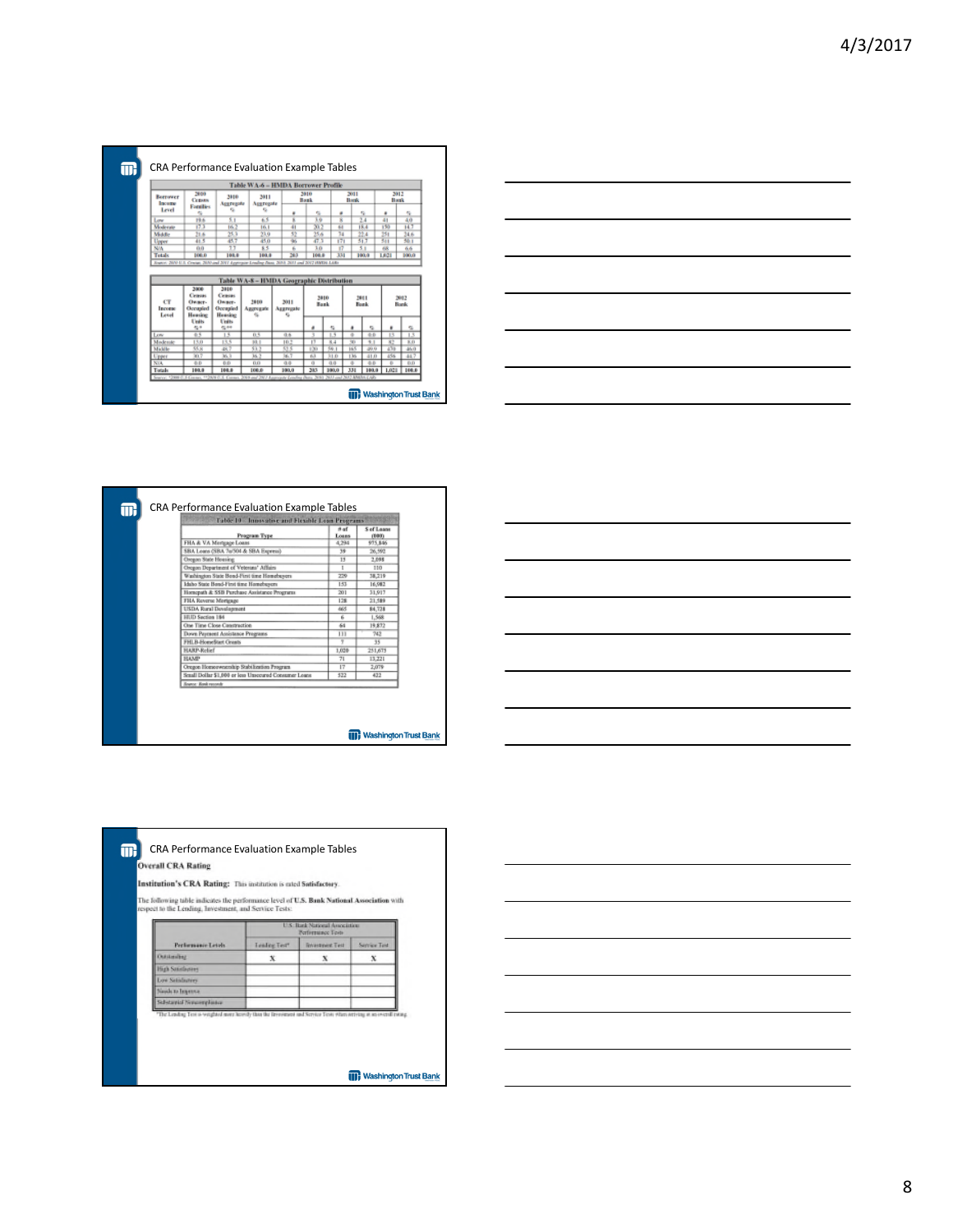|                                   |                              |                                     |                          | Table WA-6 - HMDA Borrower Profile                                                                                                       |              |              |                     |              |            |              |
|-----------------------------------|------------------------------|-------------------------------------|--------------------------|------------------------------------------------------------------------------------------------------------------------------------------|--------------|--------------|---------------------|--------------|------------|--------------|
| <b>Bernance</b><br><b>Incente</b> | 1900<br><b>Census</b>        | 3010<br>Aggregate                   | 3011<br>Aggregate        |                                                                                                                                          | 3010<br>Book |              | 2011<br><b>Book</b> |              | Bank       | 3012         |
| Level                             | <b>Farallies</b><br>e.       | v.                                  | 6                        |                                                                                                                                          | ¢,           |              |                     | e            |            | 怜            |
| Low                               | 19.6                         | 5.1                                 | 65                       | ×                                                                                                                                        | 10           | x            |                     | 24           | 41         | 40           |
| Moderate                          | $\overline{173}$             | <b>In</b>                           | 16.1                     | बा                                                                                                                                       | 312          | 4ł           |                     | 18.4         | 150        | 14.7         |
| Middle                            | 21.6                         | 25.3                                | 23.0                     | 52                                                                                                                                       | 25.6         | 14           |                     | 22.4         | 15)        | 54.6         |
| Upper                             | 41.5                         | 457                                 | 45.0                     | क                                                                                                                                        | a.           | 171          |                     | 313          | 511        | 561          |
| N/A                               | 00                           | 77                                  | 8.5                      | ×                                                                                                                                        | 10           | Y7           |                     | 5 a          | ĸ          | 66           |
| Totals                            | 100.0                        | 100.0                               | 100.0                    | 563                                                                                                                                      | 108.8        | 331          |                     | 100.0        | 1,021      | 500.0        |
|                                   | 3000                         | 3010                                |                          | Source: 2010 U.S. Crusas: 2010 and 2017 Avenue Louise Bass, 2010, 2011 and 2012 HMDs J.A.B.<br>Table WA-8 - HMDA Geographic Distribution |              |              |                     |              |            |              |
| CT<br>Income                      | Census<br>Owner-<br>Occupied | <b>Census</b><br>Owner-<br>Occupied | 2800<br>Agenciazio<br>e, | 2011<br>Augregate                                                                                                                        |              | 3010<br>Bank |                     | 2011<br>Bank |            | 2012<br>Bank |
| Level                             | Heasing<br>Units<br>松平       | Heasing<br>Units<br>52,948          |                          | q.                                                                                                                                       | ٠            | ×,           |                     | e,           | ٠          |              |
| Low                               | 65                           | 13                                  | 0.5                      | 0.6                                                                                                                                      | ٠            | 1.5          | ×                   | $0 - 0$      | 13         | s<br>13      |
| Maclessic                         | 13.0                         | 13.5                                | 1011                     | 10.7                                                                                                                                     | 13           | 8.4          | ig)                 | 9.1          | 37         | 8.0          |
| Middle                            | 55.8                         | 48.                                 | 513                      | 53.5                                                                                                                                     | 130          | 54.1         | 165                 | 49.9         | 230        | 46.0         |
| Upper                             | 30.7                         | 36.9                                | M.)                      | 567                                                                                                                                      | 63           | k1.0         | 136                 | 41.0         | 456        | 447          |
| NO <sub>4</sub><br>Totals         | 6.0<br>100.0                 | 0.0<br>109.9                        | 0.0<br>100.0             | 0.6<br>390.0                                                                                                                             | ū<br>303     | ūā<br>390.0  | ж<br>331            | 46<br>100.0  | т<br>1,021 | 0.0<br>108.8 |



| Table 10 Innovative and Flexible Loan Programs        |              |                   |
|-------------------------------------------------------|--------------|-------------------|
| Program Type                                          | #af<br>Lossa | S of Laans<br>man |
| FHA & VA Merteage Loans                               | 4,294        | 975,846           |
| SBA Leans (SBA 7a/504 & SBA Express)                  | 38           | 26,992            |
| Oregon State Housing                                  | 19           | 2.098             |
| Oregon Department of Veterans' Affairs                |              | 110               |
| Washington State Bond-First time Homebusers           | 229          | 38.219            |
| Idaho State Bond-First time Homebuyers                | 153          | 16,982            |
| Homepath & SSB Purchase Assistance Programs           | 201          | 31,917            |
| FIIA Reverse Mortgage                                 | 126          | 21,589            |
| USDA Rural Development                                | 465          | \$4,728           |
| HUD Section 184                                       | ñ            | 1,568             |
| One Time Close Construction                           | 64           | 19,872            |
| Down Perceent Assistance Programs                     | 111          | 742               |
| FHLB-HomeStart Grants                                 | Ŧ            | 35                |
| HARP-Relief                                           | 1,028        | 251,675           |
| <b>HAMP</b>                                           | 71           | 13.221            |
| Oregon Homorwegenkip Stabilization Program            | 17           | 2,079             |
| Small Dollar \$1,000 or less Unsecured Consumer Logos | 532          | 432               |
| <b>Zource: Rosk records</b>                           |              |                   |





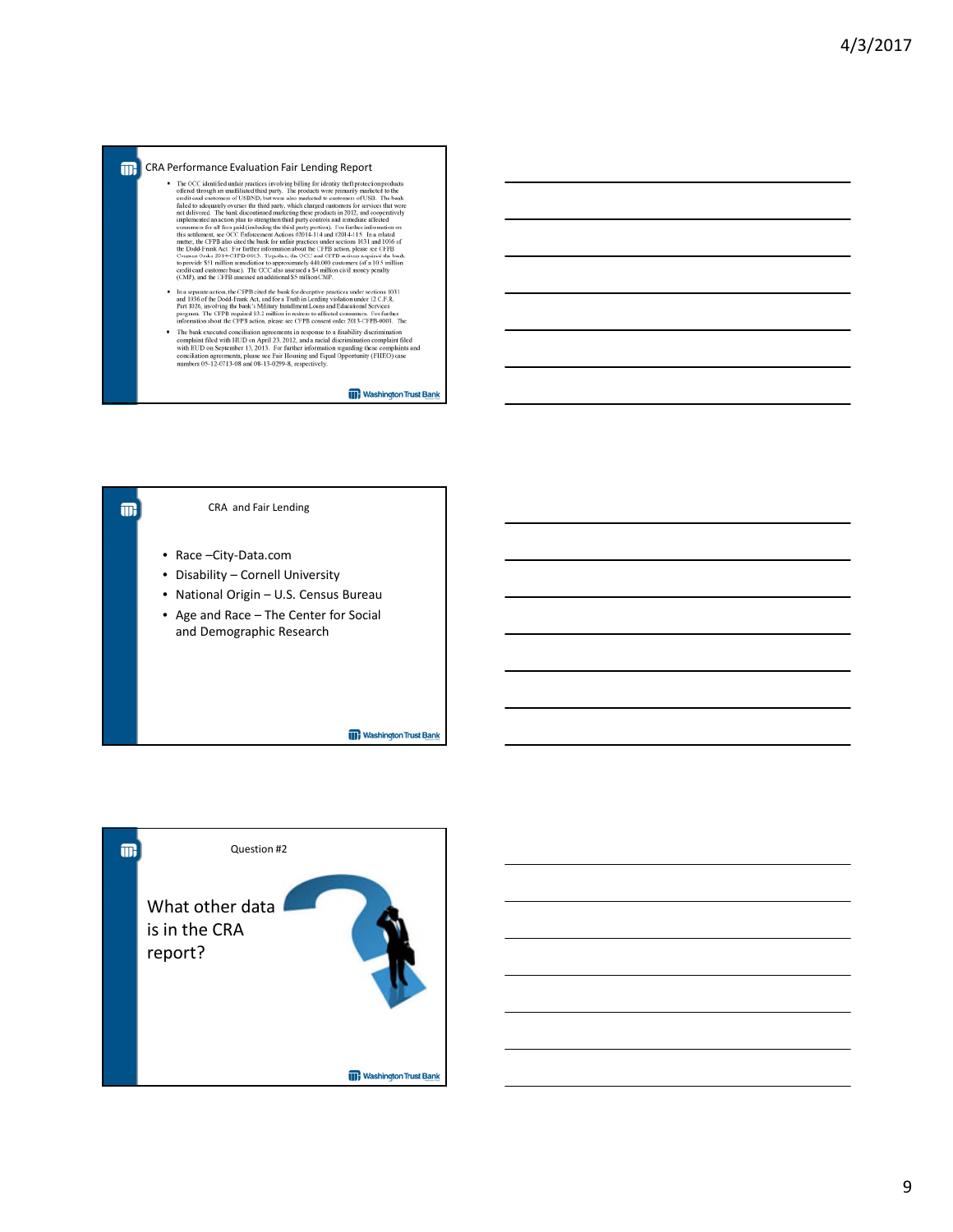- **TRA PERFORMATION EVALUATION FAIIT Lending Report**<br> **CRA PERFORMATION** IS the CF of the continued and interaction and interaction and interaction and interaction and interaction and interaction and interaction and interac
	- In a separate action, the CFPB cited the bank for deceptive practices under sections 1031 and 1036 of the Dodd-Frank Act, and for a Truth in Leading violation Part 102.C FR.<br>That 1026, involving the bank's Military Instal
	- The bank executed conciliation agreements in response to a disability discrimination complaint filed with HUD on April 23, 2012, and a netal discrimination complaint filed with HUD on September 13, 2013. For further infor

**III**, Washington Trust Bank